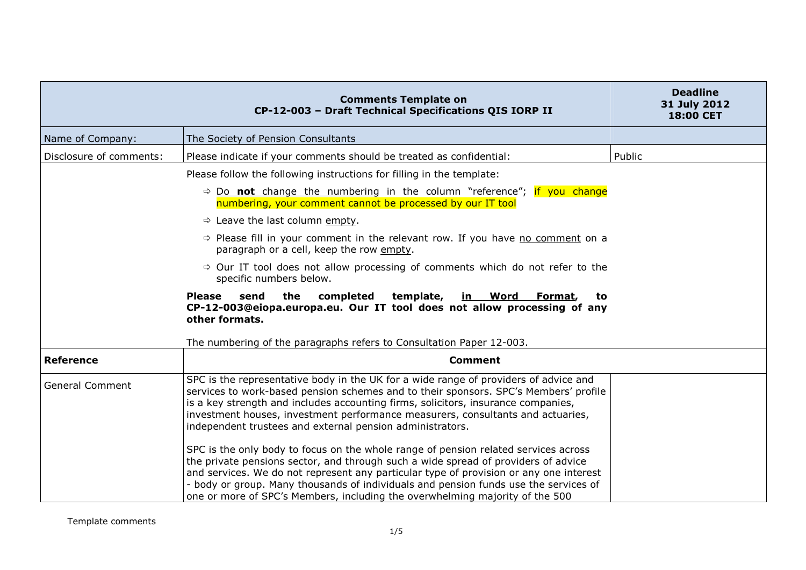|                         | <b>Comments Template on</b><br>CP-12-003 - Draft Technical Specifications QIS IORP II                                                                                                                                                                                                                                                                                                                                                       | <b>Deadline</b><br>31 July 2012<br>18:00 CET |
|-------------------------|---------------------------------------------------------------------------------------------------------------------------------------------------------------------------------------------------------------------------------------------------------------------------------------------------------------------------------------------------------------------------------------------------------------------------------------------|----------------------------------------------|
| Name of Company:        | The Society of Pension Consultants                                                                                                                                                                                                                                                                                                                                                                                                          |                                              |
| Disclosure of comments: | Please indicate if your comments should be treated as confidential:                                                                                                                                                                                                                                                                                                                                                                         | Public                                       |
|                         | Please follow the following instructions for filling in the template:                                                                                                                                                                                                                                                                                                                                                                       |                                              |
|                         | $\Rightarrow$ Do not change the numbering in the column "reference"; if you change<br>numbering, your comment cannot be processed by our IT tool                                                                                                                                                                                                                                                                                            |                                              |
|                         | $\Rightarrow$ Leave the last column empty.                                                                                                                                                                                                                                                                                                                                                                                                  |                                              |
|                         | $\Rightarrow$ Please fill in your comment in the relevant row. If you have no comment on a<br>paragraph or a cell, keep the row empty.                                                                                                                                                                                                                                                                                                      |                                              |
|                         | $\Rightarrow$ Our IT tool does not allow processing of comments which do not refer to the<br>specific numbers below.                                                                                                                                                                                                                                                                                                                        |                                              |
|                         | <b>Please</b><br>send<br>the<br>completed<br>template,<br><b>Word</b><br>Format,<br>in l<br>to<br>CP-12-003@eiopa.europa.eu. Our IT tool does not allow processing of any<br>other formats.                                                                                                                                                                                                                                                 |                                              |
|                         | The numbering of the paragraphs refers to Consultation Paper 12-003.                                                                                                                                                                                                                                                                                                                                                                        |                                              |
| <b>Reference</b>        | <b>Comment</b>                                                                                                                                                                                                                                                                                                                                                                                                                              |                                              |
| <b>General Comment</b>  | SPC is the representative body in the UK for a wide range of providers of advice and<br>services to work-based pension schemes and to their sponsors. SPC's Members' profile<br>is a key strength and includes accounting firms, solicitors, insurance companies,<br>investment houses, investment performance measurers, consultants and actuaries,<br>independent trustees and external pension administrators.                           |                                              |
|                         | SPC is the only body to focus on the whole range of pension related services across<br>the private pensions sector, and through such a wide spread of providers of advice<br>and services. We do not represent any particular type of provision or any one interest<br>- body or group. Many thousands of individuals and pension funds use the services of<br>one or more of SPC's Members, including the overwhelming majority of the 500 |                                              |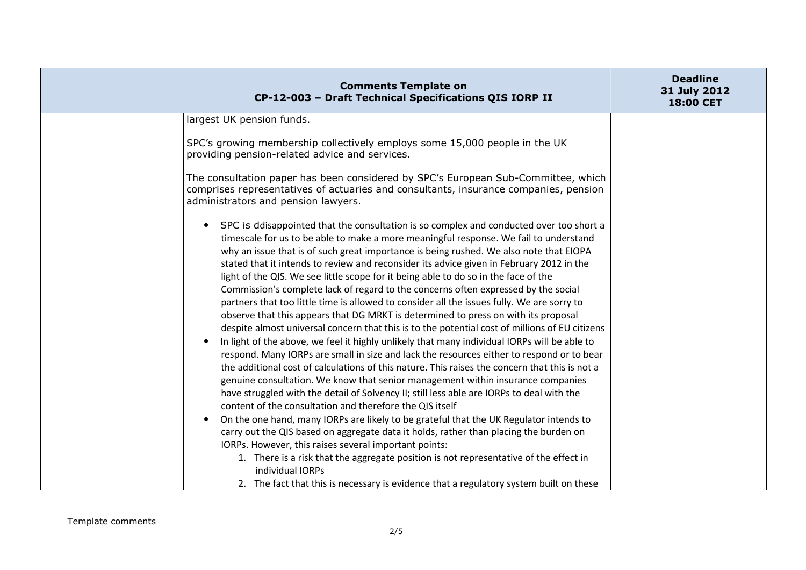| <b>Comments Template on</b><br>CP-12-003 - Draft Technical Specifications QIS IORP II                                                                                                                                                                                                                                                                                                                                                                                                                                                                                                                                                                                                                                                                                                                                                                                                                                                                                                                                                                                                                                                                                                                                                                 | <b>Deadline</b><br>31 July 2012<br>18:00 CET |
|-------------------------------------------------------------------------------------------------------------------------------------------------------------------------------------------------------------------------------------------------------------------------------------------------------------------------------------------------------------------------------------------------------------------------------------------------------------------------------------------------------------------------------------------------------------------------------------------------------------------------------------------------------------------------------------------------------------------------------------------------------------------------------------------------------------------------------------------------------------------------------------------------------------------------------------------------------------------------------------------------------------------------------------------------------------------------------------------------------------------------------------------------------------------------------------------------------------------------------------------------------|----------------------------------------------|
| largest UK pension funds.                                                                                                                                                                                                                                                                                                                                                                                                                                                                                                                                                                                                                                                                                                                                                                                                                                                                                                                                                                                                                                                                                                                                                                                                                             |                                              |
| SPC's growing membership collectively employs some 15,000 people in the UK<br>providing pension-related advice and services.                                                                                                                                                                                                                                                                                                                                                                                                                                                                                                                                                                                                                                                                                                                                                                                                                                                                                                                                                                                                                                                                                                                          |                                              |
| The consultation paper has been considered by SPC's European Sub-Committee, which<br>comprises representatives of actuaries and consultants, insurance companies, pension<br>administrators and pension lawyers.                                                                                                                                                                                                                                                                                                                                                                                                                                                                                                                                                                                                                                                                                                                                                                                                                                                                                                                                                                                                                                      |                                              |
| SPC is ddisappointed that the consultation is so complex and conducted over too short a<br>$\bullet$<br>timescale for us to be able to make a more meaningful response. We fail to understand<br>why an issue that is of such great importance is being rushed. We also note that EIOPA<br>stated that it intends to review and reconsider its advice given in February 2012 in the<br>light of the QIS. We see little scope for it being able to do so in the face of the<br>Commission's complete lack of regard to the concerns often expressed by the social<br>partners that too little time is allowed to consider all the issues fully. We are sorry to<br>observe that this appears that DG MRKT is determined to press on with its proposal<br>despite almost universal concern that this is to the potential cost of millions of EU citizens<br>In light of the above, we feel it highly unlikely that many individual IORPs will be able to<br>$\bullet$<br>respond. Many IORPs are small in size and lack the resources either to respond or to bear<br>the additional cost of calculations of this nature. This raises the concern that this is not a<br>genuine consultation. We know that senior management within insurance companies |                                              |
| have struggled with the detail of Solvency II; still less able are IORPs to deal with the<br>content of the consultation and therefore the QIS itself                                                                                                                                                                                                                                                                                                                                                                                                                                                                                                                                                                                                                                                                                                                                                                                                                                                                                                                                                                                                                                                                                                 |                                              |
| On the one hand, many IORPs are likely to be grateful that the UK Regulator intends to<br>$\bullet$<br>carry out the QIS based on aggregate data it holds, rather than placing the burden on<br>IORPs. However, this raises several important points:<br>1. There is a risk that the aggregate position is not representative of the effect in<br>individual IORPs                                                                                                                                                                                                                                                                                                                                                                                                                                                                                                                                                                                                                                                                                                                                                                                                                                                                                    |                                              |
| 2. The fact that this is necessary is evidence that a regulatory system built on these                                                                                                                                                                                                                                                                                                                                                                                                                                                                                                                                                                                                                                                                                                                                                                                                                                                                                                                                                                                                                                                                                                                                                                |                                              |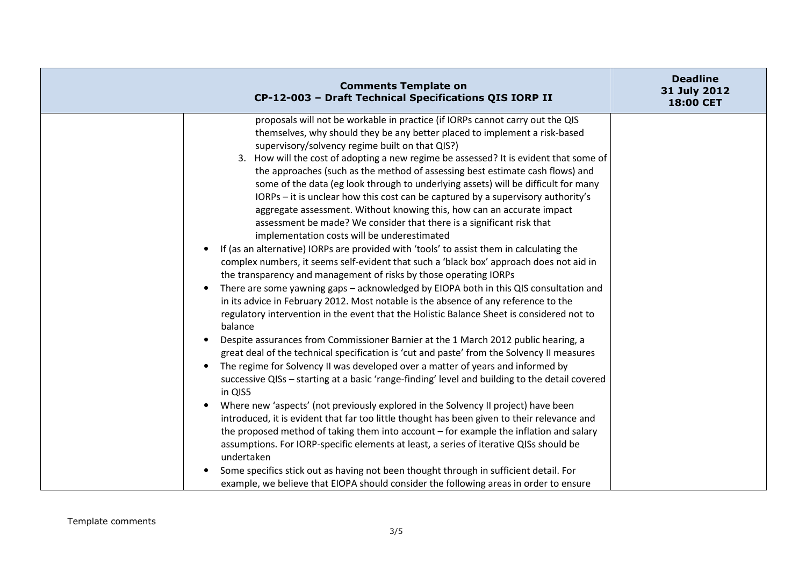| <b>Comments Template on</b><br>CP-12-003 - Draft Technical Specifications QIS IORP II                                                                                                                                                                                                                                                                                                                                                                                                                                                                                                                                                                                                                                                                                                                                                                                                                                                                                                                                                                                                                                                                                                                                                                                                                                                                                                                                                                                                                                                                                                                                                                                                                                                                                                                                                                                                                                                                                                                                                                                                                                                                                                                                                                                                              | <b>Deadline</b><br>31 July 2012<br><b>18:00 CET</b> |
|----------------------------------------------------------------------------------------------------------------------------------------------------------------------------------------------------------------------------------------------------------------------------------------------------------------------------------------------------------------------------------------------------------------------------------------------------------------------------------------------------------------------------------------------------------------------------------------------------------------------------------------------------------------------------------------------------------------------------------------------------------------------------------------------------------------------------------------------------------------------------------------------------------------------------------------------------------------------------------------------------------------------------------------------------------------------------------------------------------------------------------------------------------------------------------------------------------------------------------------------------------------------------------------------------------------------------------------------------------------------------------------------------------------------------------------------------------------------------------------------------------------------------------------------------------------------------------------------------------------------------------------------------------------------------------------------------------------------------------------------------------------------------------------------------------------------------------------------------------------------------------------------------------------------------------------------------------------------------------------------------------------------------------------------------------------------------------------------------------------------------------------------------------------------------------------------------------------------------------------------------------------------------------------------------|-----------------------------------------------------|
| proposals will not be workable in practice (if IORPs cannot carry out the QIS<br>themselves, why should they be any better placed to implement a risk-based<br>supervisory/solvency regime built on that QIS?)<br>3. How will the cost of adopting a new regime be assessed? It is evident that some of<br>the approaches (such as the method of assessing best estimate cash flows) and<br>some of the data (eg look through to underlying assets) will be difficult for many<br>IORPs - it is unclear how this cost can be captured by a supervisory authority's<br>aggregate assessment. Without knowing this, how can an accurate impact<br>assessment be made? We consider that there is a significant risk that<br>implementation costs will be underestimated<br>If (as an alternative) IORPs are provided with 'tools' to assist them in calculating the<br>complex numbers, it seems self-evident that such a 'black box' approach does not aid in<br>the transparency and management of risks by those operating IORPs<br>There are some yawning gaps - acknowledged by EIOPA both in this QIS consultation and<br>in its advice in February 2012. Most notable is the absence of any reference to the<br>regulatory intervention in the event that the Holistic Balance Sheet is considered not to<br>balance<br>Despite assurances from Commissioner Barnier at the 1 March 2012 public hearing, a<br>great deal of the technical specification is 'cut and paste' from the Solvency II measures<br>The regime for Solvency II was developed over a matter of years and informed by<br>$\bullet$<br>successive QISs - starting at a basic 'range-finding' level and building to the detail covered<br>in QIS5<br>Where new 'aspects' (not previously explored in the Solvency II project) have been<br>introduced, it is evident that far too little thought has been given to their relevance and<br>the proposed method of taking them into account – for example the inflation and salary<br>assumptions. For IORP-specific elements at least, a series of iterative QISs should be<br>undertaken<br>Some specifics stick out as having not been thought through in sufficient detail. For<br>example, we believe that EIOPA should consider the following areas in order to ensure |                                                     |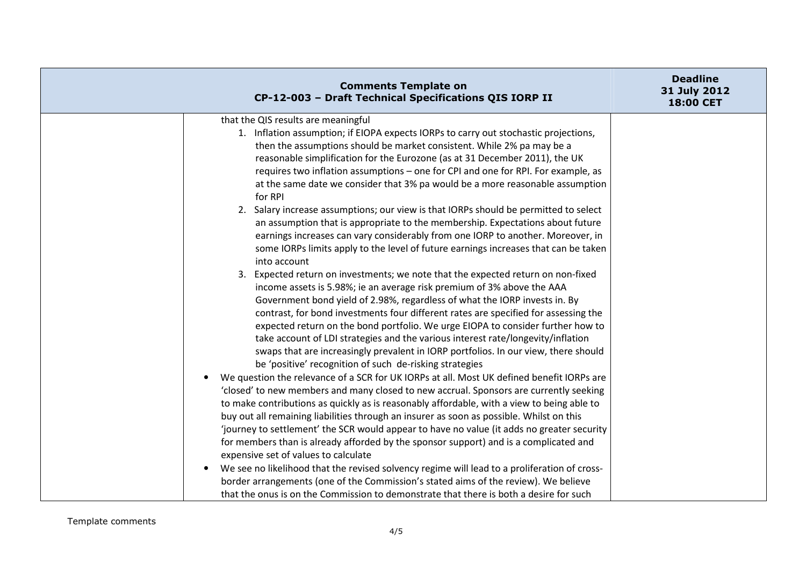| <b>Comments Template on</b><br>CP-12-003 - Draft Technical Specifications QIS IORP II                                                                                                                                                                                                                                                                                                                                                                                                                                                                                                                                                                                                                                                                                                                                                                                                                                                                                                                                                                                                                                                                                                                                                                                                                                                                                                                                                                                                                                                                                                                                                                                                                                                                                                                                                                                                                                                                                                                                                                                                                                                                                                                                 | <b>Deadline</b><br>31 July 2012<br>18:00 CET |
|-----------------------------------------------------------------------------------------------------------------------------------------------------------------------------------------------------------------------------------------------------------------------------------------------------------------------------------------------------------------------------------------------------------------------------------------------------------------------------------------------------------------------------------------------------------------------------------------------------------------------------------------------------------------------------------------------------------------------------------------------------------------------------------------------------------------------------------------------------------------------------------------------------------------------------------------------------------------------------------------------------------------------------------------------------------------------------------------------------------------------------------------------------------------------------------------------------------------------------------------------------------------------------------------------------------------------------------------------------------------------------------------------------------------------------------------------------------------------------------------------------------------------------------------------------------------------------------------------------------------------------------------------------------------------------------------------------------------------------------------------------------------------------------------------------------------------------------------------------------------------------------------------------------------------------------------------------------------------------------------------------------------------------------------------------------------------------------------------------------------------------------------------------------------------------------------------------------------------|----------------------------------------------|
| that the QIS results are meaningful<br>1. Inflation assumption; if EIOPA expects IORPs to carry out stochastic projections,<br>then the assumptions should be market consistent. While 2% pa may be a<br>reasonable simplification for the Eurozone (as at 31 December 2011), the UK<br>requires two inflation assumptions - one for CPI and one for RPI. For example, as<br>at the same date we consider that 3% pa would be a more reasonable assumption<br>for RPI<br>2. Salary increase assumptions; our view is that IORPs should be permitted to select<br>an assumption that is appropriate to the membership. Expectations about future<br>earnings increases can vary considerably from one IORP to another. Moreover, in<br>some IORPs limits apply to the level of future earnings increases that can be taken<br>into account<br>3. Expected return on investments; we note that the expected return on non-fixed<br>income assets is 5.98%; ie an average risk premium of 3% above the AAA<br>Government bond yield of 2.98%, regardless of what the IORP invests in. By<br>contrast, for bond investments four different rates are specified for assessing the<br>expected return on the bond portfolio. We urge EIOPA to consider further how to<br>take account of LDI strategies and the various interest rate/longevity/inflation<br>swaps that are increasingly prevalent in IORP portfolios. In our view, there should<br>be 'positive' recognition of such de-risking strategies<br>We question the relevance of a SCR for UK IORPs at all. Most UK defined benefit IORPs are<br>'closed' to new members and many closed to new accrual. Sponsors are currently seeking<br>to make contributions as quickly as is reasonably affordable, with a view to being able to<br>buy out all remaining liabilities through an insurer as soon as possible. Whilst on this<br>'journey to settlement' the SCR would appear to have no value (it adds no greater security<br>for members than is already afforded by the sponsor support) and is a complicated and<br>expensive set of values to calculate<br>We see no likelihood that the revised solvency regime will lead to a proliferation of cross- |                                              |
| border arrangements (one of the Commission's stated aims of the review). We believe<br>that the onus is on the Commission to demonstrate that there is both a desire for such                                                                                                                                                                                                                                                                                                                                                                                                                                                                                                                                                                                                                                                                                                                                                                                                                                                                                                                                                                                                                                                                                                                                                                                                                                                                                                                                                                                                                                                                                                                                                                                                                                                                                                                                                                                                                                                                                                                                                                                                                                         |                                              |